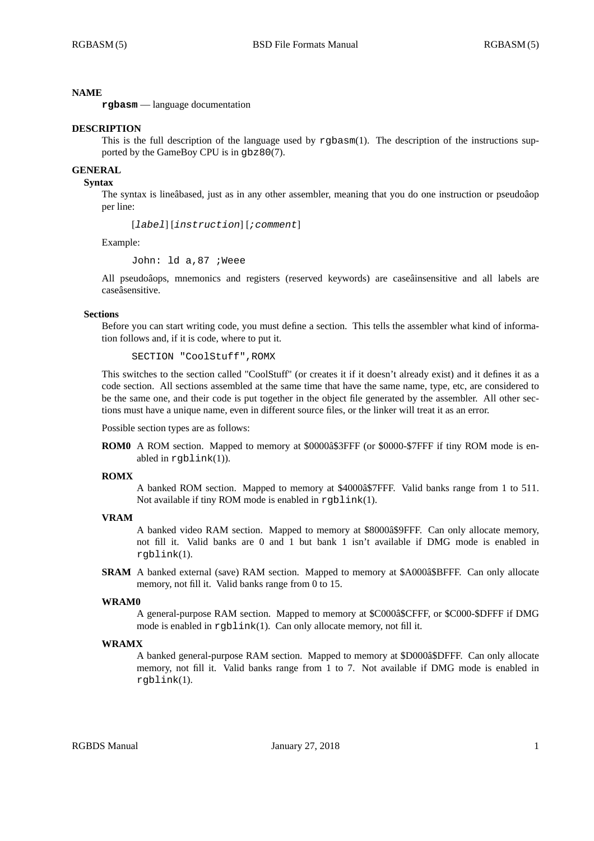## **NAME**

**rgbasm** — language documentation

### **DESCRIPTION**

This is the full description of the language used by rgbasm(1). The description of the instructions supported by the GameBoy CPU is in gbz80(7).

# **GENERAL**

## **Syntax**

The syntax is lineâbased, just as in any other assembler, meaning that you do one instruction or pseudoâop per line:

[*label*] [*instruction*] [*;comment*]

Example:

John: ld a,87 ;Weee

All pseudoâops, mnemonics and registers (reserved keywords) are caseâinsensitive and all labels are caseâsensitive.

### **Sections**

Before you can start writing code, you must define a section. This tells the assembler what kind of information follows and, if it is code, where to put it.

SECTION "CoolStuff",ROMX

This switches to the section called "CoolStuff" (or creates it if it doesn't already exist) and it defines it as a code section. All sections assembled at the same time that have the same name, type, etc, are considered to be the same one, and their code is put together in the object file generated by the assembler. All other sections must have a unique name, even in different source files, or the linker will treat it as an error.

Possible section types are as follows:

**ROM0** A ROM section. Mapped to memory at \$0000â\$3FFF (or \$0000-\$7FFF if tiny ROM mode is enabled in rgblink(1)).

#### **ROMX**

A banked ROM section. Mapped to memory at \$4000â\$7FFF. Valid banks range from 1 to 511. Not available if tiny ROM mode is enabled in  $rqblink(1)$ .

### **VRAM**

A banked video RAM section. Mapped to memory at \$8000â\$9FFF. Can only allocate memory, not fill it. Valid banks are 0 and 1 but bank 1 isn't available if DMG mode is enabled in rgblink(1).

**SRAM** A banked external (save) RAM section. Mapped to memory at \$A000â\$BFFF. Can only allocate memory, not fill it. Valid banks range from 0 to 15.

#### **WRAM0**

A general-purpose RAM section. Mapped to memory at \$C000â\$CFFF, or \$C000-\$DFFF if DMG mode is enabled in rgblink(1). Can only allocate memory, not fill it.

#### **WRAMX**

A banked general-purpose RAM section. Mapped to memory at \$D000â\$DFFF. Can only allocate memory, not fill it. Valid banks range from 1 to 7. Not available if DMG mode is enabled in rgblink(1).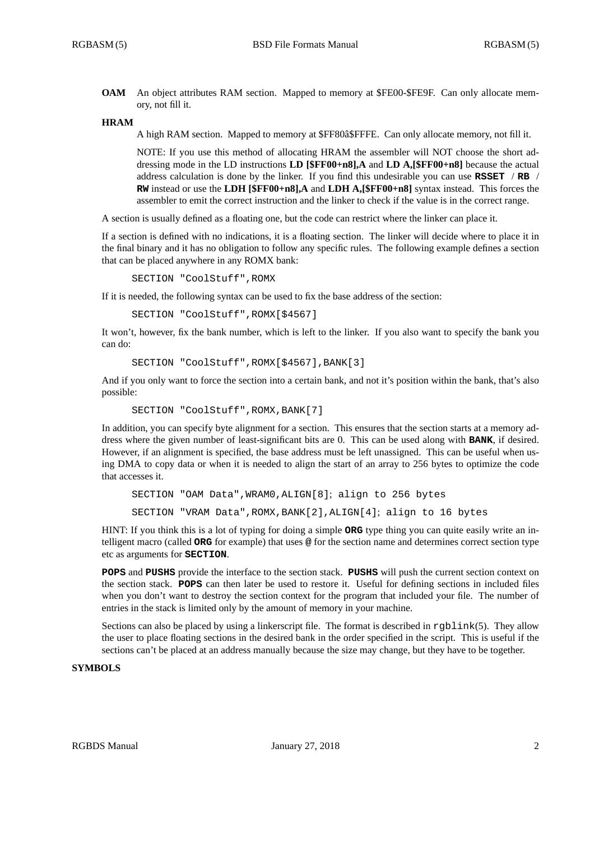**OAM** An object attributes RAM section. Mapped to memory at \$FE00-\$FE9F. Can only allocate memory, not fill it.

#### **HRAM**

A high RAM section. Mapped to memory at \$FF80â\$FFFE. Can only allocate memory, not fill it.

NOTE: If you use this method of allocating HRAM the assembler will NOT choose the short addressing mode in the LD instructions **LD [\$FF00+n8],A** and **LD A,[\$FF00+n8]** because the actual address calculation is done by the linker. If you find this undesirable you can use **RSSET** / **RB** / **RW** instead or use the **LDH [\$FF00+n8],A** and **LDH A,[\$FF00+n8]** syntax instead. This forces the assembler to emit the correct instruction and the linker to check if the value is in the correct range.

A section is usually defined as a floating one, but the code can restrict where the linker can place it.

If a section is defined with no indications, it is a floating section. The linker will decide where to place it in the final binary and it has no obligation to follow any specific rules. The following example defines a section that can be placed anywhere in any ROMX bank:

SECTION "CoolStuff",ROMX

If it is needed, the following syntax can be used to fix the base address of the section:

SECTION "CoolStuff",ROMX[\$4567]

It won't, however, fix the bank number, which is left to the linker. If you also want to specify the bank you can do:

```
SECTION "CoolStuff",ROMX[$4567],BANK[3]
```
And if you only want to force the section into a certain bank, and not it's position within the bank, that's also possible:

```
SECTION "CoolStuff", ROMX, BANK[7]
```
In addition, you can specify byte alignment for a section. This ensures that the section starts at a memory address where the given number of least-significant bits are 0. This can be used along with **BANK**, if desired. However, if an alignment is specified, the base address must be left unassigned. This can be useful when using DMA to copy data or when it is needed to align the start of an array to 256 bytes to optimize the code that accesses it.

```
SECTION "OAM Data",WRAM0,ALIGN[8]; align to 256 bytes
SECTION "VRAM Data",ROMX,BANK[2],ALIGN[4]; align to 16 bytes
```
HINT: If you think this is a lot of typing for doing a simple **ORG** type thing you can quite easily write an intelligent macro (called **ORG** for example) that uses **@** for the section name and determines correct section type etc as arguments for **SECTION**.

**POPS** and **PUSHS** provide the interface to the section stack. **PUSHS** will push the current section context on the section stack. **POPS** can then later be used to restore it. Useful for defining sections in included files when you don't want to destroy the section context for the program that included your file. The number of entries in the stack is limited only by the amount of memory in your machine.

Sections can also be placed by using a linkerscript file. The format is described in rgblink(5). They allow the user to place floating sections in the desired bank in the order specified in the script. This is useful if the sections can't be placed at an address manually because the size may change, but they have to be together.

# **SYMBOLS**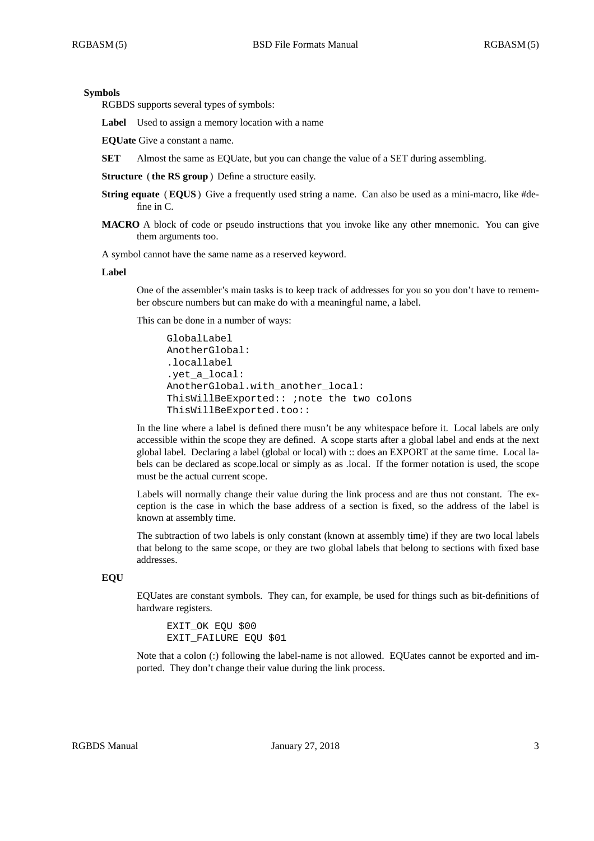## **Symbols**

RGBDS supports several types of symbols:

Label Used to assign a memory location with a name

**EQUate** Give a constant a name.

**SET** Almost the same as EQUate, but you can change the value of a SET during assembling.

**Structure** ( **the RS group**) Define a structure easily.

- **String equate** (**EQUS**) Give a frequently used string a name. Can also be used as a mini-macro, like #define in C.
- **MACRO** A block of code or pseudo instructions that you invoke like any other mnemonic. You can give them arguments too.

A symbol cannot have the same name as a reserved keyword.

#### **Label**

One of the assembler's main tasks is to keep track of addresses for you so you don't have to remember obscure numbers but can make do with a meaningful name, a label.

This can be done in a number of ways:

```
GlobalLabel
AnotherGlobal:
.locallabel
.yet_a_local:
AnotherGlobal.with_another_local:
ThisWillBeExported:: ;note the two colons
ThisWillBeExported.too::
```
In the line where a label is defined there musn't be any whitespace before it. Local labels are only accessible within the scope they are defined. A scope starts after a global label and ends at the next global label. Declaring a label (global or local) with :: does an EXPORT at the same time. Local labels can be declared as scope.local or simply as as .local. If the former notation is used, the scope must be the actual current scope.

Labels will normally change their value during the link process and are thus not constant. The exception is the case in which the base address of a section is fixed, so the address of the label is known at assembly time.

The subtraction of two labels is only constant (known at assembly time) if they are two local labels that belong to the same scope, or they are two global labels that belong to sections with fixed base addresses.

## **EQU**

EQUates are constant symbols. They can, for example, be used for things such as bit-definitions of hardware registers.

EXIT\_OK EQU \$00 EXIT FAILURE EQU \$01

Note that a colon (:) following the label-name is not allowed. EQUates cannot be exported and imported. They don't change their value during the link process.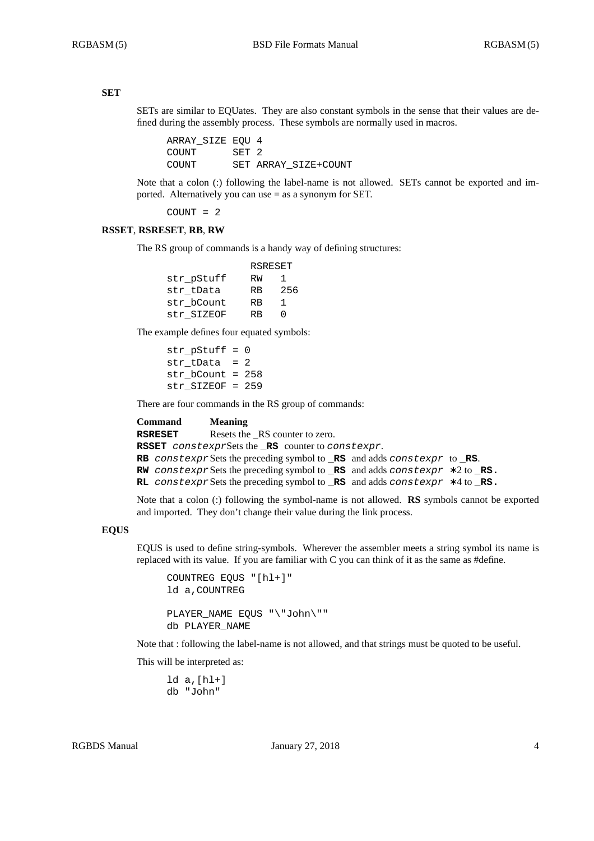## **SET**

SETs are similar to EQUates. They are also constant symbols in the sense that their values are defined during the assembly process. These symbols are normally used in macros.

ARRAY\_SIZE EQU 4 COUNT SET 2 COUNT SET ARRAY\_SIZE+COUNT

Note that a colon (:) following the label-name is not allowed. SETs cannot be exported and imported. Alternatively you can use = as a synonym for SET.

COUNT = 2

### **RSSET**, **RSRESET**, **RB**, **RW**

The RS group of commands is a handy way of defining structures:

|            | RSRESET   |     |
|------------|-----------|-----|
| str pStuff | RW        | ı.  |
| str tData  | <b>RB</b> | 256 |
| str bCount | <b>RB</b> | 1   |
| str SIZEOF | RR        | ∩   |

The example defines four equated symbols:

str  $pStuff = 0$ str  $tData = 2$ str\_bCount = 258 str\_SIZEOF = 259

There are four commands in the RS group of commands:

| Command | <b>Meaning</b>                                                                                             |
|---------|------------------------------------------------------------------------------------------------------------|
| RSRESET | Resets the RS counter to zero.                                                                             |
|         | ${\tt RSSET}$ constexpr ${\tt Sets}$ the ${\tt RS}$ counter to constexpr.                                  |
|         | <b>RB</b> constexpr Sets the preceding symbol to $\Box$ <b>RS</b> and adds constexpr to $\Box$ <b>RS</b> . |
|         | <b>RW</b> constexpr Sets the preceding symbol to <b>RS</b> and adds constexpr $*2$ to <b>RS</b> .          |
|         | RL constexpr Sets the preceding symbol to RS and adds constexpr $*4$ to RS.                                |
|         |                                                                                                            |

Note that a colon (:) following the symbol-name is not allowed. **RS** symbols cannot be exported and imported. They don't change their value during the link process.

### **EQUS**

EQUS is used to define string-symbols. Wherever the assembler meets a string symbol its name is replaced with its value. If you are familiar with C you can think of it as the same as #define.

```
COUNTREG EQUS "[hl+]"
ld a,COUNTREG
PLAYER_NAME EQUS "\"John\""
db PLAYER_NAME
```
Note that : following the label-name is not allowed, and that strings must be quoted to be useful.

This will be interpreted as:

ld a,[hl+] db "John"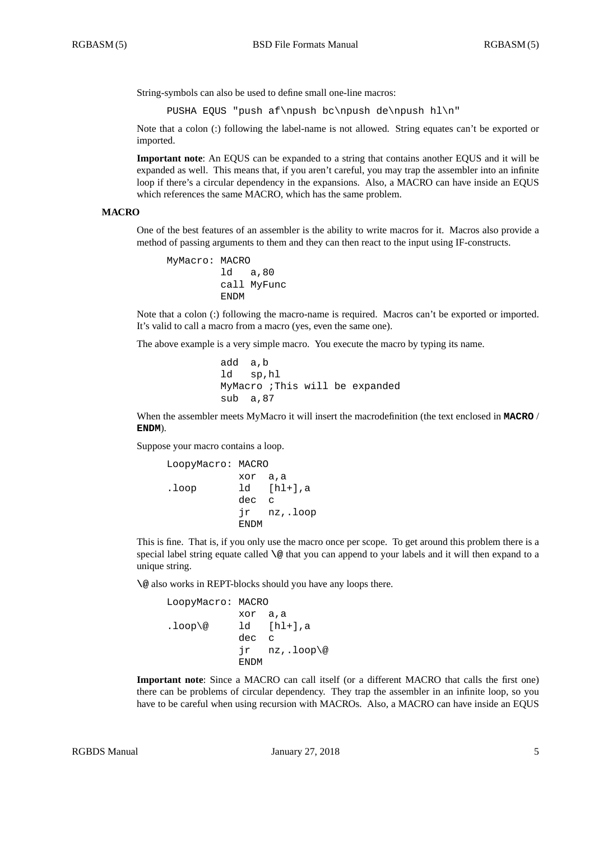String-symbols can also be used to define small one-line macros:

PUSHA EQUS "push af\npush bc\npush de\npush hl\n"

Note that a colon (:) following the label-name is not allowed. String equates can't be exported or imported.

**Important note**: An EQUS can be expanded to a string that contains another EQUS and it will be expanded as well. This means that, if you aren't careful, you may trap the assembler into an infinite loop if there's a circular dependency in the expansions. Also, a MACRO can have inside an EQUS which references the same MACRO, which has the same problem.

#### **MACRO**

One of the best features of an assembler is the ability to write macros for it. Macros also provide a method of passing arguments to them and they can then react to the input using IF-constructs.

```
MyMacro: MACRO
         ld a,80
        call MyFunc
         ENDM
```
Note that a colon (:) following the macro-name is required. Macros can't be exported or imported. It's valid to call a macro from a macro (yes, even the same one).

The above example is a very simple macro. You execute the macro by typing its name.

```
add a,b
ld sp,hl
MyMacro ;This will be expanded
sub a,87
```
When the assembler meets MyMacro it will insert the macrodefinition (the text enclosed in **MACRO** / **ENDM**).

Suppose your macro contains a loop.

```
LoopyMacro: MACRO
          xor a,a
.loop ld [hl+],a
          dec c
          jr nz,.loop
          ENDM
```
This is fine. That is, if you only use the macro once per scope. To get around this problem there is a special label string equate called **\@** that you can append to your labels and it will then expand to a unique string.

**\@** also works in REPT-blocks should you have any loops there.

```
LoopyMacro: MACRO
          xor a,a
lloop@ ld [hl+], a
          dec c
           jr nz,.loop\@
          ENDM
```
**Important note**: Since a MACRO can call itself (or a different MACRO that calls the first one) there can be problems of circular dependency. They trap the assembler in an infinite loop, so you have to be careful when using recursion with MACROs. Also, a MACRO can have inside an EQUS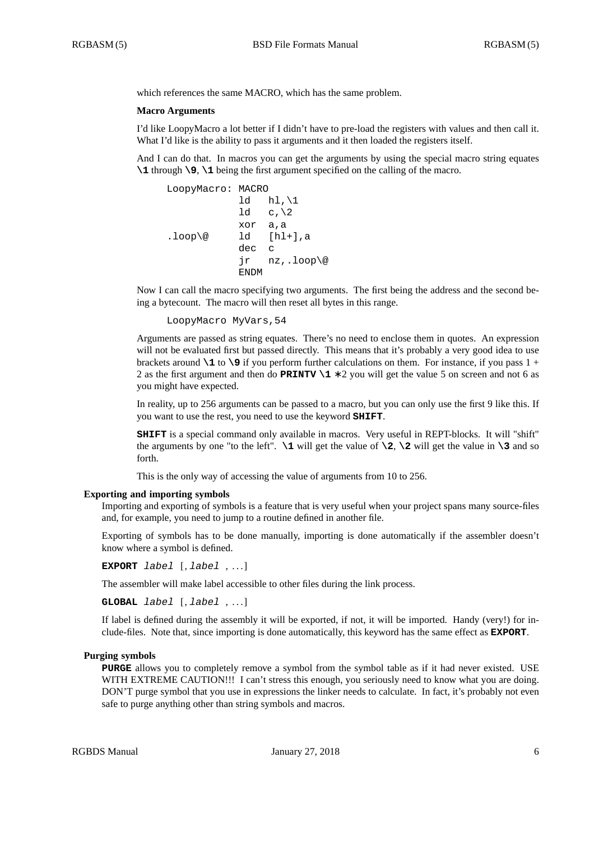which references the same MACRO, which has the same problem.

#### **Macro Arguments**

I'd like LoopyMacro a lot better if I didn't have to pre-load the registers with values and then call it. What I'd like is the ability to pass it arguments and it then loaded the registers itself.

And I can do that. In macros you can get the arguments by using the special macro string equates **\1** through **\9**, **\1** being the first argument specified on the calling of the macro.

```
LoopyMacro: MACRO
           ld hl, \1
           1d c, \lambdaxor a,a
.loop\@ ld [hl+],a
           dec c
           jr nz,.loop\@
           ENDM
```
Now I can call the macro specifying two arguments. The first being the address and the second being a bytecount. The macro will then reset all bytes in this range.

```
LoopyMacro MyVars,54
```
Arguments are passed as string equates. There's no need to enclose them in quotes. An expression will not be evaluated first but passed directly. This means that it's probably a very good idea to use brackets around **\1** to **\9** if you perform further calculations on them. For instance, if you pass 1 + 2 as the first argument and then do **PRINTV \1** ∗ 2 you will get the value 5 on screen and not 6 as you might have expected.

In reality, up to 256 arguments can be passed to a macro, but you can only use the first 9 like this. If you want to use the rest, you need to use the keyword **SHIFT**.

**SHIFT** is a special command only available in macros. Very useful in REPT-blocks. It will "shift" the arguments by one "to the left".  $\setminus$ 1 will get the value of  $\setminus$ 2,  $\setminus$ 2 will get the value in  $\setminus$ 3 and so forth.

This is the only way of accessing the value of arguments from 10 to 256.

#### **Exporting and importing symbols**

Importing and exporting of symbols is a feature that is very useful when your project spans many source-files and, for example, you need to jump to a routine defined in another file.

Exporting of symbols has to be done manually, importing is done automatically if the assembler doesn't know where a symbol is defined.

**EXPORT** *label* [, *label* , . . . ]

The assembler will make label accessible to other files during the link process.

**GLOBAL** *label* [, *label* , . . . ]

If label is defined during the assembly it will be exported, if not, it will be imported. Handy (very!) for include-files. Note that, since importing is done automatically, this keyword has the same effect as **EXPORT**.

#### **Purging symbols**

**PURGE** allows you to completely remove a symbol from the symbol table as if it had never existed. USE WITH EXTREME CAUTION!!! I can't stress this enough, you seriously need to know what you are doing. DON'T purge symbol that you use in expressions the linker needs to calculate. In fact, it's probably not even safe to purge anything other than string symbols and macros.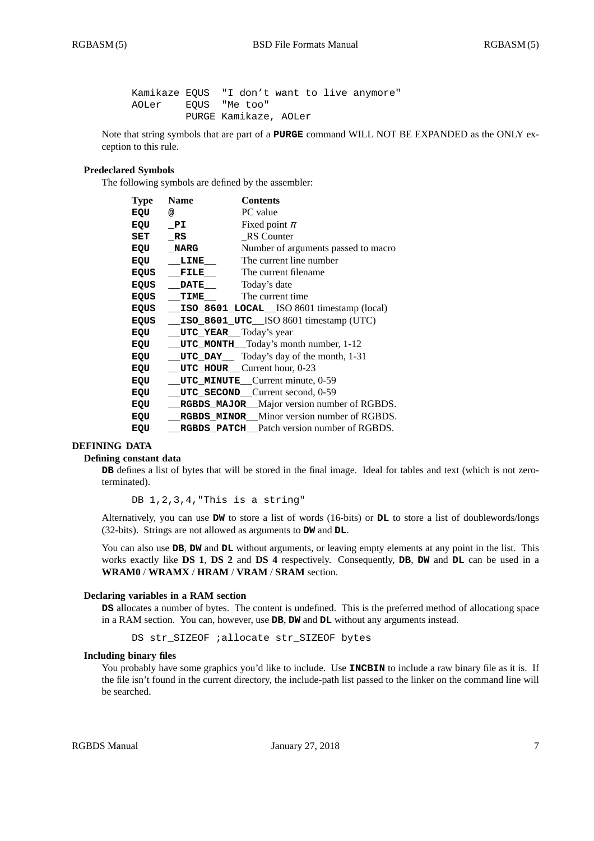Kamikaze EQUS "I don't want to live anymore" AOLer EQUS "Me too" PURGE Kamikaze, AOLer

Note that string symbols that are part of a **PURGE** command WILL NOT BE EXPANDED as the ONLY exception to this rule.

## **Predeclared Symbols**

The following symbols are defined by the assembler:

| <b>Type</b> | <b>Name</b>                          | <b>Contents</b>                                   |
|-------------|--------------------------------------|---------------------------------------------------|
| EQU         | @                                    | PC value                                          |
| EQU         | PI                                   | Fixed point $\pi$                                 |
| SET         | RS                                   | <b>RS</b> Counter                                 |
| EQU         | <b>NARG</b>                          | Number of arguments passed to macro               |
| EQU         | LINE                                 | The current line number                           |
| EQUS        | FILE                                 | The current filename                              |
| EQUS        | <b>DATE</b>                          | Today's date                                      |
| <b>EQUS</b> | TIME                                 | The current time                                  |
| EQUS        |                                      | ISO_8601_LOCAL_ISO 8601 timestamp (local)         |
| EQUS        |                                      | ISO_8601_UTC__ISO 8601 timestamp (UTC)            |
| EQU         | <b>UTC_YEAR</b> Today's year         |                                                   |
| EQU         |                                      | __UTC_MONTH__Today's month number, 1-12           |
| EQU         |                                      | <b>UTC_DAY</b> Today's day of the month, 1-31     |
| EQU         | $UTC_HOUT$ HOUR Current hour, $0-23$ |                                                   |
| EQU         |                                      | UTC_MINUTE_Current minute, 0-59                   |
| EQU         |                                      | UTC_SECOND_Current second, 0-59                   |
| EQU         |                                      | RGBDS_MAJOR_Major version number of RGBDS.        |
| EQU         |                                      | <b>RGBDS MINOR</b> Minor version number of RGBDS. |
| EQU         |                                      | <b>RGBDS</b> PATCH Patch version number of RGBDS. |

### **DEFINING DATA**

#### **Defining constant data**

**DB** defines a list of bytes that will be stored in the final image. Ideal for tables and text (which is not zeroterminated).

DB 1, 2, 3, 4, "This is a string"

Alternatively, you can use **DW** to store a list of words (16-bits) or **DL** to store a list of doublewords/longs (32-bits). Strings are not allowed as arguments to **DW** and **DL**.

You can also use **DB**, **DW** and **DL** without arguments, or leaving empty elements at any point in the list. This works exactly like **DS 1**, **DS 2** and **DS 4** respectively. Consequently, **DB**, **DW** and **DL** can be used in a **WRAM0** / **WRAMX** / **HRAM** / **VRAM** / **SRAM** section.

### **Declaring variables in a RAM section**

**DS** allocates a number of bytes. The content is undefined. This is the preferred method of allocationg space in a RAM section. You can, however, use **DB**, **DW** and **DL** without any arguments instead.

DS str\_SIZEOF ;allocate str\_SIZEOF bytes

### **Including binary files**

You probably have some graphics you'd like to include. Use **INCBIN** to include a raw binary file as it is. If the file isn't found in the current directory, the include-path list passed to the linker on the command line will be searched.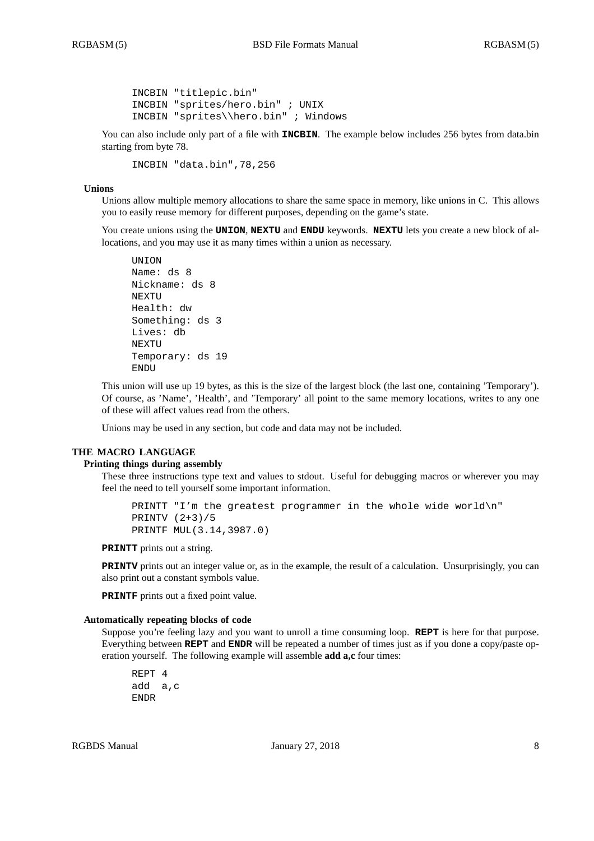```
INCBIN "titlepic.bin"
INCBIN "sprites/hero.bin" ; UNIX
INCBIN "sprites\\hero.bin" ; Windows
```
You can also include only part of a file with **INCBIN**. The example below includes 256 bytes from data.bin starting from byte 78.

INCBIN "data.bin",78,256

### **Unions**

Unions allow multiple memory allocations to share the same space in memory, like unions in C. This allows you to easily reuse memory for different purposes, depending on the game's state.

You create unions using the **UNION**, **NEXTU** and **ENDU** keywords. **NEXTU** lets you create a new block of allocations, and you may use it as many times within a union as necessary.

```
UNION
Name: ds 8
Nickname: ds 8
NEXTU
Health: dw
Something: ds 3
Lives: db
NEXTU
Temporary: ds 19
ENDU
```
This union will use up 19 bytes, as this is the size of the largest block (the last one, containing 'Temporary'). Of course, as 'Name', 'Health', and 'Temporary' all point to the same memory locations, writes to any one of these will affect values read from the others.

Unions may be used in any section, but code and data may not be included.

### **THE MACRO LANGUAGE**

## **Printing things during assembly**

These three instructions type text and values to stdout. Useful for debugging macros or wherever you may feel the need to tell yourself some important information.

```
PRINTT "I'm the greatest programmer in the whole wide world\n"
PRINTV (2+3)/5
PRINTF MUL(3.14,3987.0)
```
**PRINTT** prints out a string.

**PRINTV** prints out an integer value or, as in the example, the result of a calculation. Unsurprisingly, you can also print out a constant symbols value.

**PRINTF** prints out a fixed point value.

### **Automatically repeating blocks of code**

Suppose you're feeling lazy and you want to unroll a time consuming loop. **REPT** is here for that purpose. Everything between **REPT** and **ENDR** will be repeated a number of times just as if you done a copy/paste operation yourself. The following example will assemble **add a,c** four times:

```
REPT 4
add a,c
ENDR
```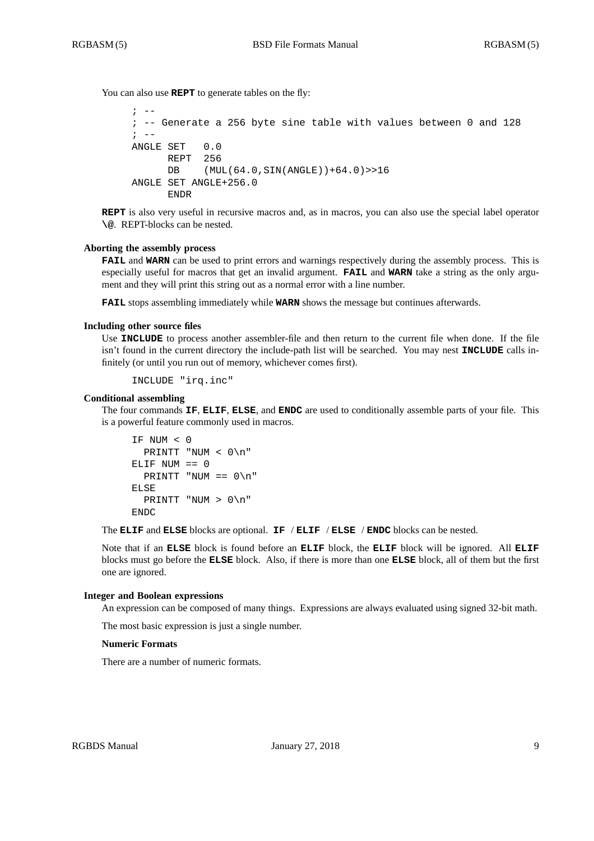You can also use **REPT** to generate tables on the fly:

```
\cdot --
; -- Generate a 256 byte sine table with values between 0 and 128
\mathbf{i} -ANGLE SET 0.0
      REPT 256
      DB (MUL(64.0,SIN(ANGLE))+64.0)>>16
ANGLE SET ANGLE+256.0
      ENDR
```
**REPT** is also very useful in recursive macros and, as in macros, you can also use the special label operator **\@**. REPT-blocks can be nested.

#### **Aborting the assembly process**

**FAIL** and **WARN** can be used to print errors and warnings respectively during the assembly process. This is especially useful for macros that get an invalid argument. **FAIL** and **WARN** take a string as the only argument and they will print this string out as a normal error with a line number.

**FAIL** stops assembling immediately while **WARN** shows the message but continues afterwards.

## **Including other source files**

Use **INCLUDE** to process another assembler-file and then return to the current file when done. If the file isn't found in the current directory the include-path list will be searched. You may nest **INCLUDE** calls infinitely (or until you run out of memory, whichever comes first).

```
INCLUDE "irq.inc"
```
### **Conditional assembling**

The four commands **IF**, **ELIF**, **ELSE**, and **ENDC** are used to conditionally assemble parts of your file. This is a powerful feature commonly used in macros.

```
IF NUM < 0
  PRINTT "NUM < 0\n"
ELIF NUM == 0
  PRINTT "NUM == 0 \n\cdot n"
ELSE
  PRINTT "NUM > 0\n"
ENDC
```
The **ELIF** and **ELSE** blocks are optional. **IF** / **ELIF** / **ELSE** / **ENDC** blocks can be nested.

Note that if an **ELSE** block is found before an **ELIF** block, the **ELIF** block will be ignored. All **ELIF** blocks must go before the **ELSE** block. Also, if there is more than one **ELSE** block, all of them but the first one are ignored.

#### **Integer and Boolean expressions**

An expression can be composed of many things. Expressions are always evaluated using signed 32-bit math.

The most basic expression is just a single number.

#### **Numeric Formats**

There are a number of numeric formats.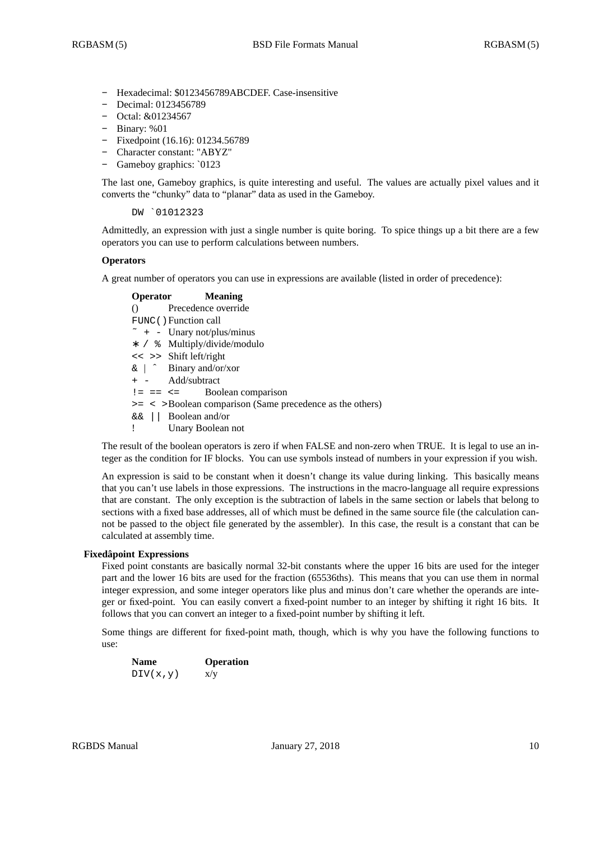- **-** Hexadecimal: \$0123456789ABCDEF. Case-insensitive
- **-** Decimal: 0123456789
- **-** Octal: &01234567
- **-** Binary: %01
- **-** Fixedpoint (16.16): 01234.56789
- **-** Character constant: "ABYZ"
- **-** Gameboy graphics: `0123

The last one, Gameboy graphics, is quite interesting and useful. The values are actually pixel values and it converts the "chunky" data to "planar" data as used in the Gameboy.

DW `01012323

Admittedly, an expression with just a single number is quite boring. To spice things up a bit there are a few operators you can use to perform calculations between numbers.

## **Operators**

A great number of operators you can use in expressions are available (listed in order of precedence):

# **Operator Meaning** () Precedence override FUNC() Function call  $\tilde{\ }$  + - Unary not/plus/minus ∗ / % Multiply/divide/modulo << >> Shift left/right & | ˆ Binary and/or/xor + - Add/subtract  $!=$   $==$   $<=$  Boolean comparison >= < >Boolean comparison (Same precedence as the others) && || Boolean and/or ! Unary Boolean not

The result of the boolean operators is zero if when FALSE and non-zero when TRUE. It is legal to use an integer as the condition for IF blocks. You can use symbols instead of numbers in your expression if you wish.

An expression is said to be constant when it doesn't change its value during linking. This basically means that you can't use labels in those expressions. The instructions in the macro-language all require expressions that are constant. The only exception is the subtraction of labels in the same section or labels that belong to sections with a fixed base addresses, all of which must be defined in the same source file (the calculation cannot be passed to the object file generated by the assembler). In this case, the result is a constant that can be calculated at assembly time.

## **Fixedâpoint Expressions**

Fixed point constants are basically normal 32-bit constants where the upper 16 bits are used for the integer part and the lower 16 bits are used for the fraction (65536ths). This means that you can use them in normal integer expression, and some integer operators like plus and minus don't care whether the operands are integer or fixed-point. You can easily convert a fixed-point number to an integer by shifting it right 16 bits. It follows that you can convert an integer to a fixed-point number by shifting it left.

Some things are different for fixed-point math, though, which is why you have the following functions to use:

| <b>Name</b> | <b>Operation</b> |
|-------------|------------------|
| DIV(x,y)    | x/y              |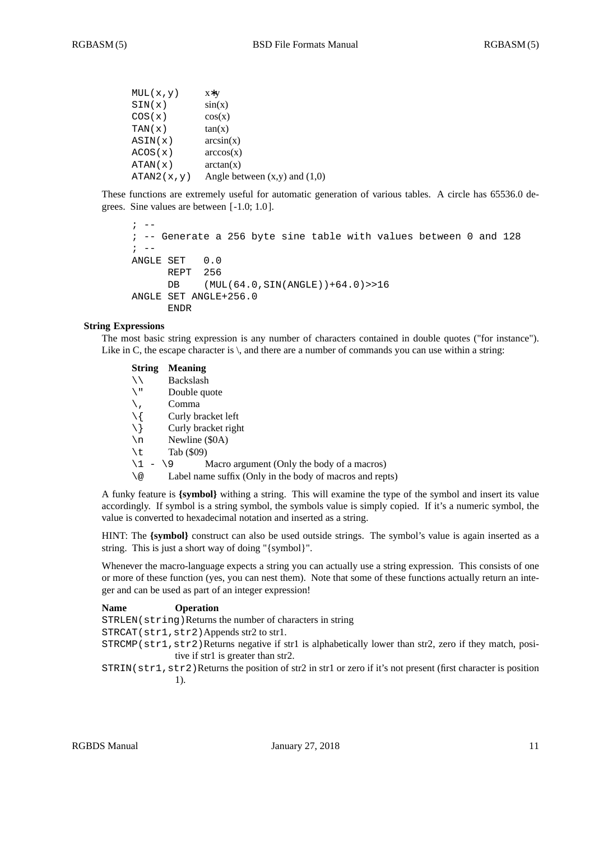```
MUL(x,y) x∗y
SIN(x) sin(x)\cos(x) \cos(x)TAN(x) tan(x)ASIN(x) arcsin(x)
ACOS(x) arccos(x)
ATAN(x) arctan(x)
ATAN2(x, y) Angle between (x,y) and (1,0)
```
These functions are extremely useful for automatic generation of various tables. A circle has 65536.0 degrees. Sine values are between [ -1.0; 1.0 ].

```
\mathbf{r} \mathbf{r} \mathbf{r}; -- Generate a 256 byte sine table with values between 0 and 128
\mathbf{i} \quad -ANGLE SET 0.0
       REPT 256
       DB (MUL(64.0,SIN(ANGLE))+64.0)>>16
ANGLE SET ANGLE+256.0
       ENDR
```
# **String Expressions**

The most basic string expression is any number of characters contained in double quotes ("for instance"). Like in C, the escape character is  $\setminus$ , and there are a number of commands you can use within a string:

| <b>String</b>    | <b>Meaning</b>                                           |
|------------------|----------------------------------------------------------|
| ヽヽ               | Backslash                                                |
| $\sqrt{1}$       | Double quote                                             |
|                  | Comma                                                    |
| $\setminus$ {    | Curly bracket left                                       |
| $\setminus$ }    | Curly bracket right                                      |
| $\n\backslash$ n | Newline (\$0A)                                           |
| \t               | Tab (\$09)                                               |
| $\backslash$ 1   | Macro argument (Only the body of a macros)<br>$-19$      |
| \@               | Label name suffix (Only in the body of macros and repts) |
|                  |                                                          |

A funky feature is **{symbol}** withing a string. This will examine the type of the symbol and insert its value accordingly. If symbol is a string symbol, the symbols value is simply copied. If it's a numeric symbol, the value is converted to hexadecimal notation and inserted as a string.

HINT: The {symbol} construct can also be used outside strings. The symbol's value is again inserted as a string. This is just a short way of doing "{symbol}".

Whenever the macro-language expects a string you can actually use a string expression. This consists of one or more of these function (yes, you can nest them). Note that some of these functions actually return an integer and can be used as part of an integer expression!

| <b>Name</b> | <b>Operation</b>                                                                                            |
|-------------|-------------------------------------------------------------------------------------------------------------|
|             | STRLEN (string) Returns the number of characters in string                                                  |
|             | STRCAT(str1,str2)Appends str2 to str1.                                                                      |
|             | $STRCMP (str1, str2)$ Returns negative if str1 is alphabetically lower than str2, zero if they match, posi- |
|             | tive if str1 is greater than str2.                                                                          |

STRIN(str1, str2)Returns the position of str2 in str1 or zero if it's not present (first character is position 1).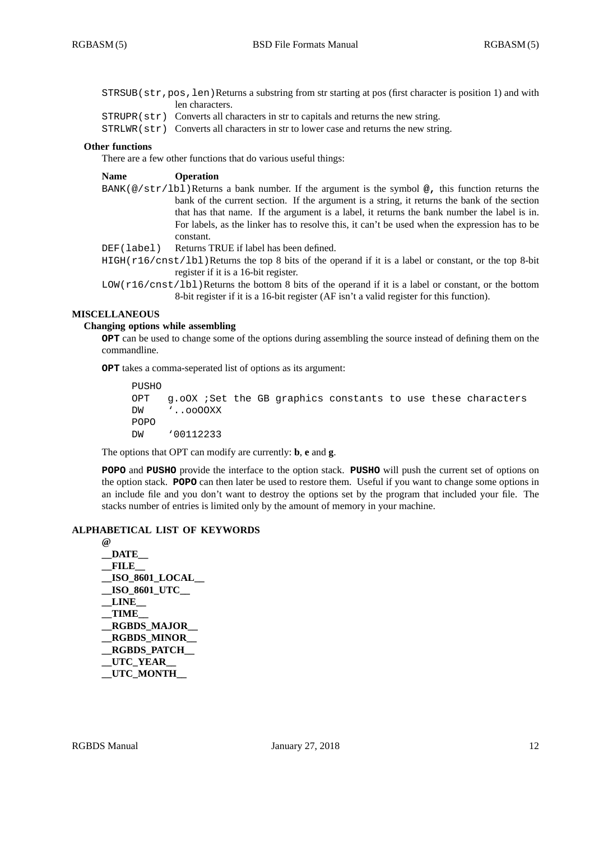STRSUB(str,pos,len)Returns a substring from str starting at pos (first character is position 1) and with len characters.

- STRUPR(str) Converts all characters in str to capitals and returns the new string.
- STRLWR(str) Converts all characters in str to lower case and returns the new string.

### **Other functions**

There are a few other functions that do various useful things:

#### **Name Operation**

- BANK(@/str/lbl)Returns a bank number. If the argument is the symbol **@,** this function returns the bank of the current section. If the argument is a string, it returns the bank of the section that has that name. If the argument is a label, it returns the bank number the label is in. For labels, as the linker has to resolve this, it can't be used when the expression has to be constant.
- DEF(label) Returns TRUE if label has been defined.
- $HIGH(r16/cnst/lbl)$ Returns the top 8 bits of the operand if it is a label or constant, or the top 8-bit register if it is a 16-bit register.
- LOW(r16/cnst/lbl)Returns the bottom 8 bits of the operand if it is a label or constant, or the bottom 8-bit register if it is a 16-bit register (AF isn't a valid register for this function).

## **MISCELLANEOUS**

## **Changing options while assembling**

**OPT** can be used to change some of the options during assembling the source instead of defining them on the commandline.

**OPT** takes a comma-seperated list of options as its argument:

PUSHO OPT g.oOX ;Set the GB graphics constants to use these characters DW '..ooOOXX POPO DW '00112233

The options that OPT can modify are currently: **b**, **e** and **g**.

**POPO** and **PUSHO** provide the interface to the option stack. **PUSHO** will push the current set of options on the option stack. **POPO** can then later be used to restore them. Useful if you want to change some options in an include file and you don't want to destroy the options set by the program that included your file. The stacks number of entries is limited only by the amount of memory in your machine.

## **ALPHABETICAL LIST OF KEYWORDS**

**@ \_\_DATE\_\_ \_\_FILE\_\_ \_\_ISO\_8601\_LOCAL\_\_ \_\_ISO\_8601\_UTC\_\_ \_\_LINE\_\_ \_\_TIME\_\_ \_\_RGBDS\_MAJOR\_\_ \_\_RGBDS\_MINOR\_\_ \_\_RGBDS\_PATCH\_\_ \_\_UTC\_YEAR\_\_ \_\_UTC\_MONTH\_\_**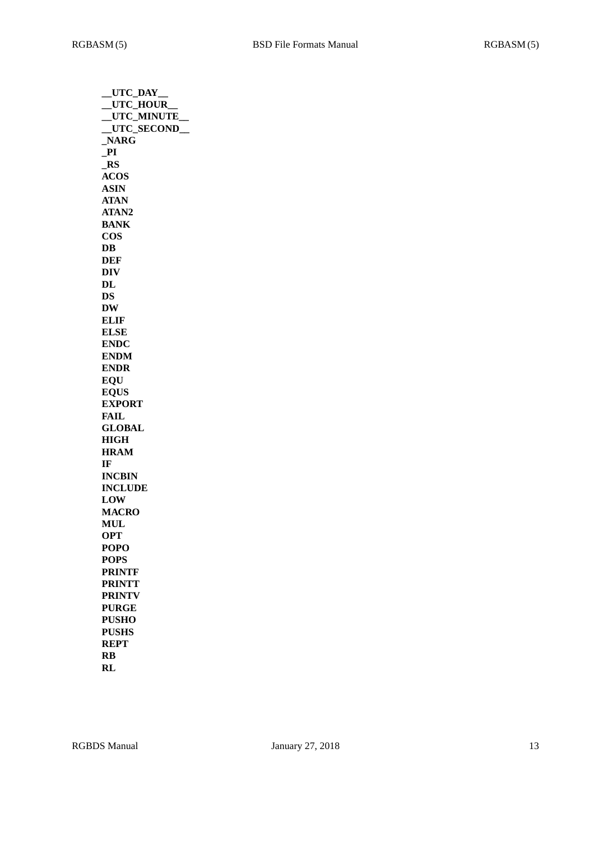| __UTC_DAY      |
|----------------|
| _UTC_HOUR      |
| _UTC_MINUTE_   |
| _UTC_SECOND_   |
| NARG           |
| P1             |
| $\_RS$         |
| <b>ACOS</b>    |
| <b>ASIN</b>    |
| <b>ATAN</b>    |
| ATAN2          |
| <b>BANK</b>    |
| <b>COS</b>     |
| DB             |
| DEF            |
| <b>DIV</b>     |
|                |
| $\bf{DL}$      |
| DS             |
| <b>DW</b>      |
| <b>ELIF</b>    |
| <b>ELSE</b>    |
| <b>ENDC</b>    |
| <b>ENDM</b>    |
| <b>ENDR</b>    |
| <b>EOU</b>     |
| <b>EQUS</b>    |
| <b>EXPORT</b>  |
| FAIL           |
| <b>GLOBAL</b>  |
| <b>HIGH</b>    |
| <b>HRAM</b>    |
| IF             |
| <b>INCBIN</b>  |
| <b>INCLUDE</b> |
| <b>LOW</b>     |
| <b>MACRO</b>   |
| <b>MUL</b>     |
|                |
| <b>OPT</b>     |
| <b>POPO</b>    |
| <b>POPS</b>    |
| <b>PRINTF</b>  |
| <b>PRINTT</b>  |
| <b>PRINTV</b>  |
| <b>PURGE</b>   |
| <b>PUSHO</b>   |
| <b>PUSHS</b>   |
| <b>REPT</b>    |
| <b>RB</b>      |
| RL             |